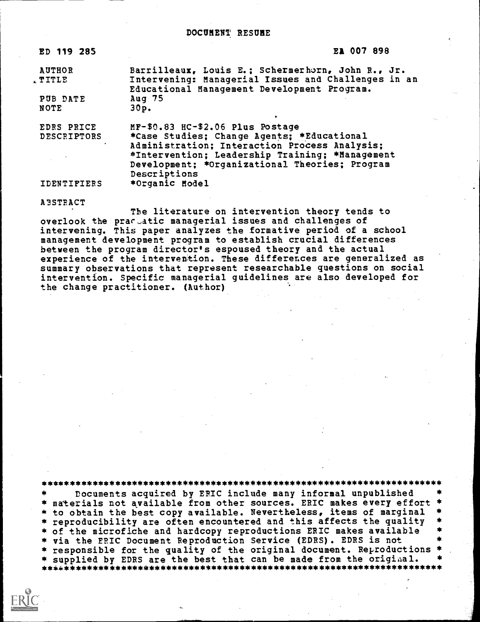| ED 119 285         | EA 007 898                                          |  |
|--------------------|-----------------------------------------------------|--|
| <b>AUTHOR</b>      | Barrilleaux, Louis E.; Schermerhorn, John R., Jr.   |  |
| , TITLE            | Intervening: Managerial Issues and Challenges in an |  |
|                    | Educational Management Development Program.         |  |
| PUB DATE           | Aug 75                                              |  |
| NOTE               | 30p.                                                |  |
|                    |                                                     |  |
| EDRS PRICE         | MF-\$0.83 HC-\$2.06 Plus Postage                    |  |
| <b>DESCRIPTORS</b> | *Case Studies; Change Agents; *Educational          |  |
|                    | Administration; Interaction Process Analysis;       |  |
|                    | *Intervention; Leadership Training; *Management     |  |
|                    |                                                     |  |
|                    | Development: *Organizational Theories; Program      |  |
|                    | Descriptions                                        |  |
| IDENTIFIERS        | *Organic Model                                      |  |
|                    |                                                     |  |

A3STRACT

The literature on intervention theory tends to overlook the prar-atic managerial issues and challenges of intervening. This paper analyzes the formative period of a school management development program to establish crucial differences between the program director's espoused theory and the actual experience of the intervention. These differences are generalized as summary observations that represent researchable questions on social intervention. Specific managerial guidelines are also developed for the change practitioner. (Author)

\*\*\*\*\*\*\*\*\*\*\*\*\*\*\*\*\*\*\*\*\*\*\*\*\*\*\*\*\*\*\*\*\*\*\*\*\*\*\*\*\*\*\*\*\*\*\*\*\*\*\*\*\*\*\*\*\*\*\*\*\*\*\*\*\*\*\*\*\*\*\* Documents acquired by EPIC include many informal unpublished \* materials not available from other sources. ERIC makes every effort \* to obtain the best copy available. Nevertheless, items of marginal<br>\* reproducibility are often encountered and this affects the quality of the microfiche and hardcopy reproductions ERIC makes available via the ERIC Document Reproduction Service (EDRS). EDRS is not responsible for the quality of the original document. Reproductions \* supplied by EDRS are the best that can be made from the original. \*\*\*\*\*\*\*\*\*\*\*\*\*\*\*\*\*\*\*\*\*\*\*\*\*\*\*\*\*\*\*\*\*\*\*\*\*\*\*\*\*\*\*\*\*\*\*\*\*\*\*\*\*\*\*\*\*\*\*\*\*\*\*\*\*\*\*\*\*\*\*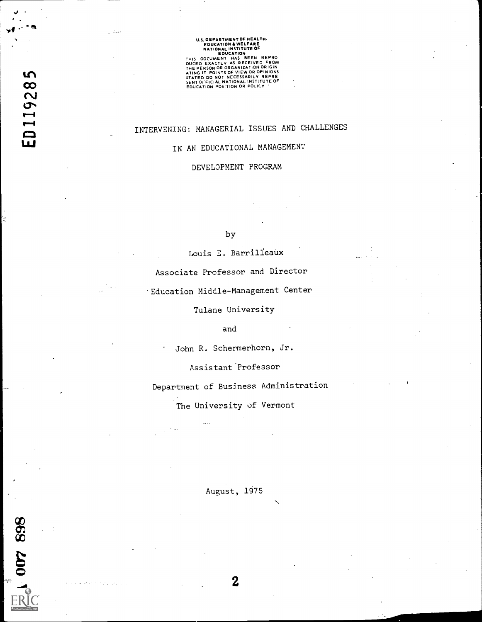# U.S. DEPARTMENT OF HEALTH.<br>
EDUCATION & WELFARE<br>
NATIONAL INSTITUTE OF<br>
EDUCATION & NETTUTE OF<br>
THIS OOCUMENT HAS BEEN REPRO<br>
OUCEO EXACTLY AS RECEIVED FROM<br>
ATING IT POINTS OF VIEW OR OPINIONS<br>
STATED DO NOT NECESSARILY R

# INTERVENING: MANAGERIAL ISSUES AND CHALLENGES

# IN AN EDUCATIONAL MANAGEMENT

DEVELOPMENT PROGRAM

## by

Louis E. Barrilfeaux

Associate Professor and Director

Education Middle-Management Center

Tulane University

# and

John R. Schermerhorn, Jr.  $\bullet$ 

Assistant Professor

Department of Business Administration

The University of Vermont

August, 1975

2

868 400 Y

فعللتين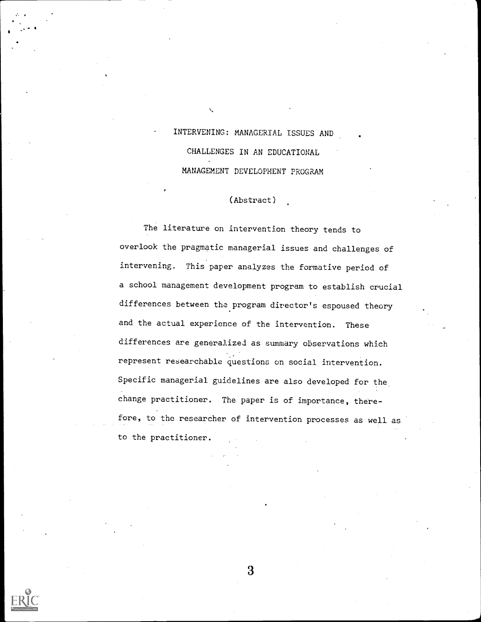INTERVENING: MANAGERIAL ISSUES AND CHALLENGES IN AN EDUCATIONAL MANAGEMENT DEVELOPMENT PROGRAM

#### (Abstract)

The literature on intervention theory tends to overlook the pragmatic managerial issues and challenges of intervening. This paper analyzes the formative period of a school management development program to establish crucial differences between the program director's espoused theory and the actual experience of the intervention. These differences are generalized as summary observations which represent researchable questions on social intervention. Specific managerial guidelines are also developed for the change practitioner. The paper is of importance, therefore, to the researcher of intervention processes as well as to the practitioner.



 $\bullet$  is a set of  $\bullet$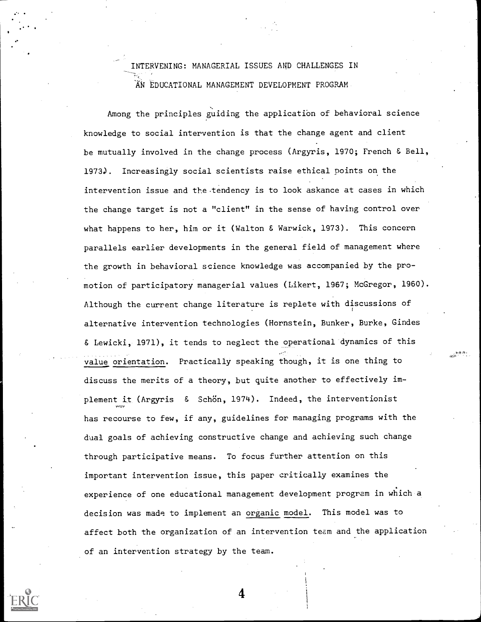# INTERVENING: MANAGERIAL ISSUES MID CHALLENGES IN AN EDUCATIONAL MANAGEMENT DEVELOPMENT PROGRAM

Among the principles guiding the application of behavioral science knowledge to social intervention is that the change agent and client be mutually involved in the change process (Argyris, 1970; French & Bell, 1973.). Increasingly social scientists raise ethical points on the intervention issue and the tendency is to look askance at cases in which the change target is not a "client" in the sense of having control over what happens to her, him or it (Walton & Warwick, 1973). This concern parallels earlier developments in the general field of management where the growth in behavioral science knowledge was accompanied by the promotion of participatory managerial values (Likert, 1967; McGregor, 1960). Although the current change literature is replete with discussions of alternative intervention technologies (Hornstein, Bunker, Burke, Gindes & Lewicki, 1971), it tends to neglect the operational dynamics of this value orientation. Practically speaking though, it is one thing to discuss the merits of a theory, but quite another to effectively implement it (Argyris & Schön, 1974). Indeed, the interventionist has recourse to few, if any, guidelines for managing programs with the dual goals of achieving constructive change and achieving such change through participative means. To focus further attention on this important intervention issue, this paper critically examines the experience of one educational management development program in which a decision was made to implement an organic model. This model was to affect both the organization of an intervention team and the application of an intervention strategy by the team.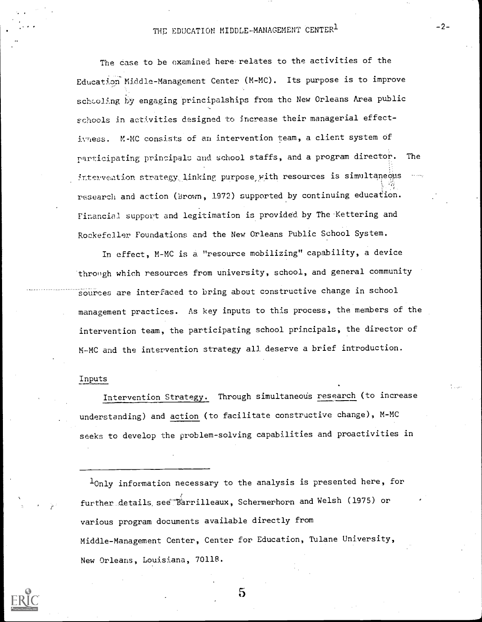# THE EDUCATION MIDDLE-MANAGEMENT CENTER1

The case to be examined here relates to the activities of the Education Middle-Management Center (M-MC). Its purpose is to improve schooling by engaging principalships from the New Orleans Area public schools in activities designed to increase their managerial effectivness. M-MC consists of an intervention team, a client system of participating principals and school staffs, and a program director. The interveation strategy linking purpose with resources is simultaneous research and action (Brown, 1972) supported by continuing education. Financial support and legitimation is provided by The Kettering and Rockefeller. Foundations and the New Orleans Public School System.

In effect, M-MC is a. "resource mobilizing" capability, a device through which resources from university, school, and general community sources are interfaced to bring about constructive change in school management practices. As key inputs to this process, the members of the intervention team, the participating school principals, the director of M-MC and the intervention strategy all deserve a brief introduction.

#### Inputs

Intervention Strategy. Through simultaneous research (to increase understanding) and action (to facilitate constructive change), M-MC seeks to develop the problem-solving capabilities and proactivities in

 $1_{\text{Only information necessary to the analysis is presented here, for}$ further details, see Tarrilleaux, Schermerhorn and Welsh (1975) or various program documents available directly from Middle-Management Center, Center for Education, Tulane University, New Orleans, Louisiana, 70118.

 $\bf{5}$ 

 $-2-$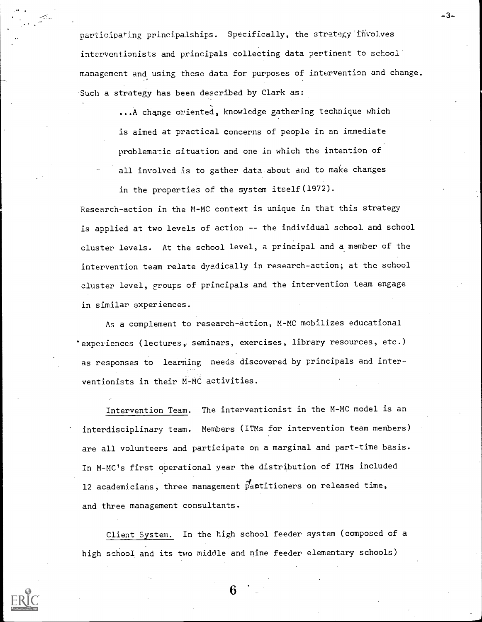participating principalships. Specifically, the strategy involves interventionists and principals collecting data pertinent to school management and using these data for purposes of intervention and change. Such a strategy has been described by Clark as:

-.3-

...A change oriented, knowledge gathering technique which is aimed at practical concerns of people in an immediate problematic situation and one in which the intention of all involved is to gather data about and to make changes

in the properties of the system itself(1972).

Research-action in the M-MC context is unique in that this strategy is applied at two levels of action -- the individual school and school cluster levels. At the school level, a principal and a member of the intervention team relate dyadically in research-action; at the school cluster level, groups of principals and the intervention team engage in similar experiences.

As a complement to research-action, M-MC mobilizes educational 'experiences (lectures, seminars, exercises, library resources, etc.) as responses to learning needs discovered by principals and interventionists in their M-MC activities.

Intervention Team. The interventionist in the M-MC model is an interdisciplinary team. Members (ITMs for intervention team members) are all volunteers and participate on a marginal and part-time basis. In M-MC's first operational year the distribution of ITMs included 12 academicians, three management pantitioners on released time, and three management consultants.

Client System. In the high school feeder system (composed of a high school and its two middle and nine feeder elementary schools)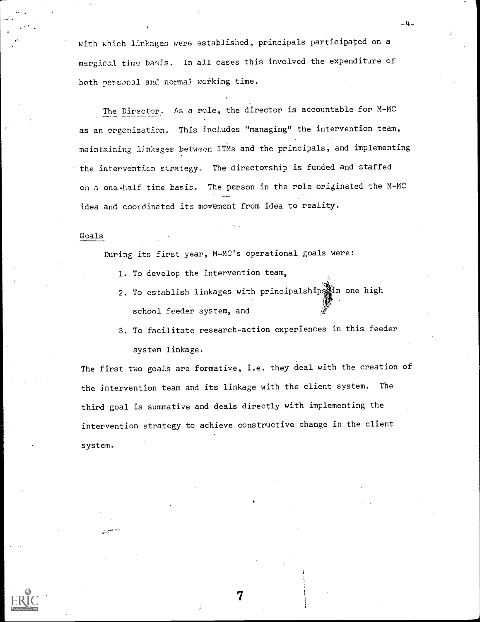with which linkages were established, principals participated on a marginal time basis. In all cases this involved the expenditure of both personal and normal, working time.

The Director. As a role, the director is accountable for M-MC as an organization. This includes "managing" the intervention team, maintaining linkages between ITMs and the principals, and implementing the intervention strategy.. The directorship is funded and staffed on a one-half time basis. The person in the role originated the M-MC idea and coordinated its movement from idea to reality.

#### Goals

During its first year, M-MC's operational goals were:

- 1. To develop the intervention team,
- 2. To establish linkages with principalshipsiin one high school feeder system, and
- 3. To facilitate research-action experiences in this feeder system linkage.

The first two goals are formative, i.e. they deal with the creation of the intervention team and its linkage with the client system. The third goal is summative and deals directly with implementing the intervention strategy to achieve constructive change in the client system.

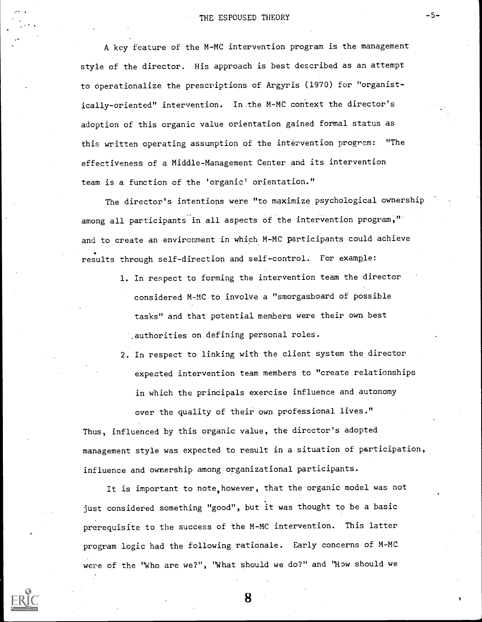A key feature of the M-MC intervention program is the management style of the director. His approach is best described as an attempt to operationalize the prescriptions of Argyris (1970) for "organistically-oriented" intervention. In the M-MC context the director's adoption of this organic value orientation gained formal status as this written operating assumption of the intervention program: "The effectiveness of a Middle-Management Center and its intervention team is a function of the 'organic' orientation."

The director's intentions were "to maximize psychological ownership among all participants in all aspects of the intervention program," and to create an environment in which M-MC participants could achieve results through self-direction and self-control. For example:

- 1. In respect to forming the intervention team the director considered M-MC to involve a "smorgasboard of possible tasks" and that potential members were their own best .authorities on defining personal roles.
- 2. In respect to linking with the client system the director expected intervention team members to "create relationships in which the principals exercise influence and autonomy over the quality of their own professional lives."

Thus, influenced by this organic value, the director's adopted management style was expected to result in a situation of participation, influence and ownership among organizational participants.

It is important to note, however, that the organic model was not just considered something "good", but it was thought to be a basic prerequisite to the success of the M-MC intervention. This latter program logic had the following rationale. Early concerns of M-MC were of the "Who are we?", "What should we do?" and "How should we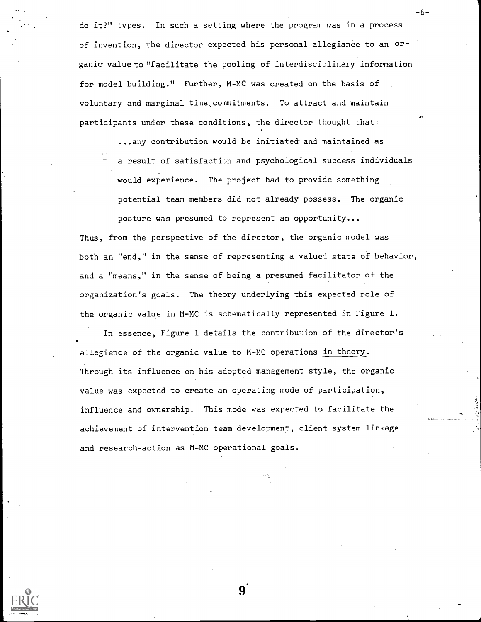do it?" types. In such a setting where the program was in a process of invention, the director expected his personal allegiance to an organic value to "facilitate the pooling of interdisciplinary information for model building." Further, M-MC was created on the basis of voluntary and marginal time,commitments. To attract and maintain participants under these conditions, the director thought that:

-6-

...any contribution would be initiated and maintained as a result of satisfaction and psychological success individuals would experience. The project had to provide something potential team members did not already possess. The organic posture was presumed to represent an opportunity...

Thus, from the perspective of the director, the organic model was both an "end," in the sense of representing a valued state of behavior, and a "means," in the sense of being a presumed facilitator of the organization's goals. The theory underlying this expected role of the organic value in M-MC is schematically represented in Figure 1.

In essence, Figure 1 details the contribution of the director's allegience of the organic value to M-MC operations in theory. Through its influence on his adopted management style, the organic value was expected to create an operating mode of participation, influence and ownership. This mode was expected to facilitate the achievement of intervention team development, client system linkage and research-action as M-MC operational goals.



9.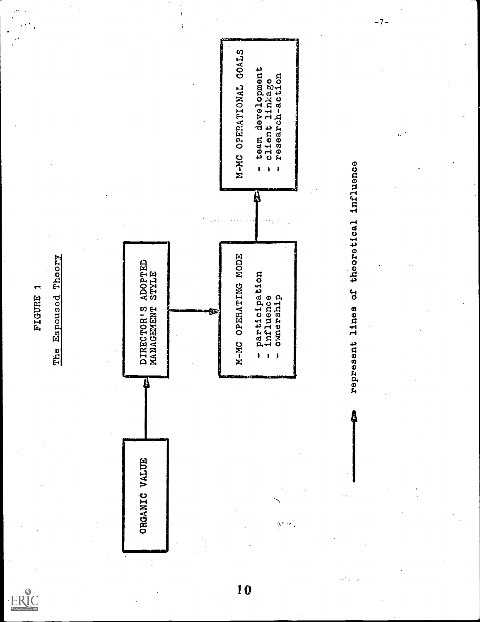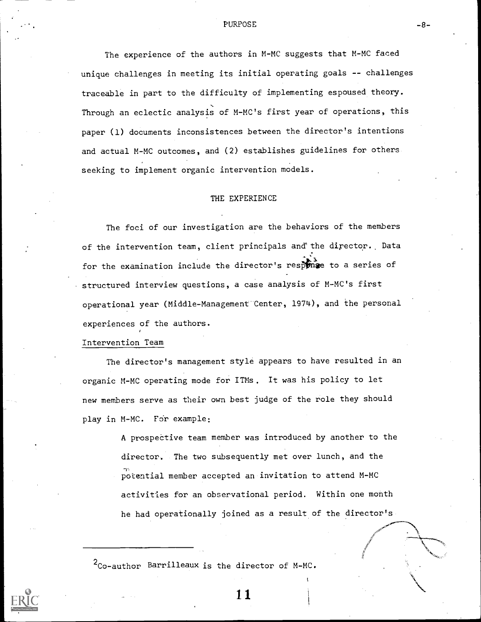# PURPOSE  $-8-$

The experience of the authors in M-MC suggests that M-MC faced unique challenges in meeting its initial operating goals -- challenges traceable in part to the difficulty of implementing espoused theory. Through an eclectic analysis of M-MC's first year of operations, this paper (1) documents inconsistences between the director's intentions and actual M-MC outcomes, and (2) establishes guidelines for others seeking to implement organic intervention models.

#### THE EXPERIENCE

The foci of our investigation are the behaviors of the members of the intervention team, client principals and the director. Data for the examination include the director's response to a series of structured interview questions, a case analysis of M-MC's first operational year (Middle-Management Center, 1974), and the personal experiences of the authors.

Intervention Team

The director's management style appears to have resulted in an organic M-MC operating mode for ITMs. It was his policy to let new members serve as their own best judge of the role they should play in M-MC. For example:

> A prospective team member was introduced by another to the director. The two subsequently met over lunch, and the potential member accepted an invitation to attend M-MC activities for an observational period. Within one month he had operationally joined as a result of the director's

 $2_{\text{Co}-\text{author}}$  Barrilleaux is the director of M-MC.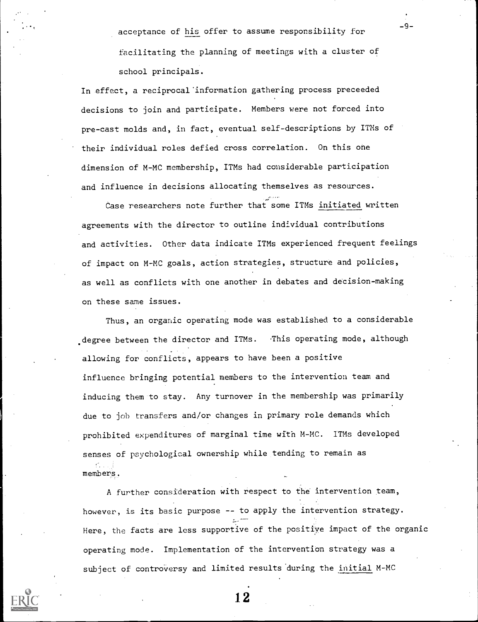acceptance of his offer to assume responsibility for facilitating the planning of meetings with a cluster of school principals.

In effect, a reciprocal'information gathering process preceeded decisions to join and participate. Members were not forced into pre-cast molds and, in fact, eventual self-descriptions by ITMs of their individual roles defied cross correlation. On this one dimension of M-MC membership, ITMs had considerable participation and influence in decisions allocating themselves as resources.

Case researchers note further that some ITMs initiated written agreements with the director to outline individual contributions and activities. Other data indicate ITMs experienced frequent feelings of impact on M-MC goals, action strategies, structure and policies, as well as conflicts with one another in debates and decision-making on these same issues.

Thus, an organic operating mode was established to a considerable degree between the director and ITMs. This operating mode, although allowing for conflicts, appears to have been a positive influence bringing potential members to the intervention team and inducing them to stay. Any turnover in the membership was primarily due to job transfers and/or changes in primary role demands which prohibited expenditures of marginal time with M-MC. ITMs developed senses of psychological ownership while tending to remain as members.

A further consideration with respect to the intervention team, however, is its basic purpose -- to apply the intervention strategy. --- Here, the facts are less supportive of the positiye impact of the organic operating mode. Implementation of the intervention strategy was a subject of controversy and limited results'during the initial M-MC

1.2

-9-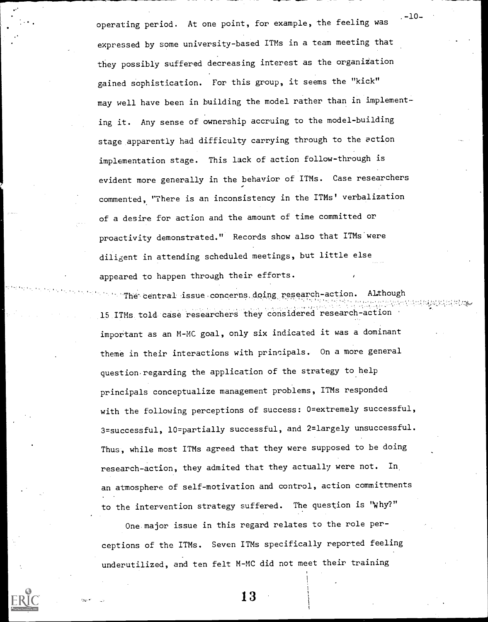operating period. At one point, for example, the feeling was expressed by some university-based ITMs in a team meeting that they possibly suffered decreasing interest as the organization gained sophistication. For this group, it seems the "kick" may well have been in building the model rather than in implementing it. Any sense of ownership accruing to the model-building stage apparently had difficulty carrying through to the action implementation stage. This lack of action follow-through is evident more generally in the behavior of ITMs. Case researchers commented, ''There is an inconsistency in the ITMs' verbalization of a desire for action and the amount of time committed or proactivity demonstrated." Records show also that ITMs'were diligent in attending scheduled meetings, but little else appeared to happen through their efforts.  $. -10 -$ 

The- central issue.concerns,dping research-action. Although 818 S.G 15 ITMs told case researchers they considered research-action important as an M-MC goal, only six indicated it was a dominant theme in their interactions with principals. On a more general question. regarding the application of the strategy to help principals conceptualize management problems, ITMs responded with the following perceptions of success: 0=extremely successful, 3=successful, 10=partially successful, and 2=largely unsuccessful. Thus, while most ITMs agreed that they were supposed to be doing research-action, they admited that they actually were not. In an atmosphere of self-motivation and control, action committments to the intervention strategy suffered. The question is "Why?"

One major issue in this regard relates to the role perceptions of the ITMs. Seven ITMs specifically reported feeling underutilized, and ten felt M-MC did not meet their training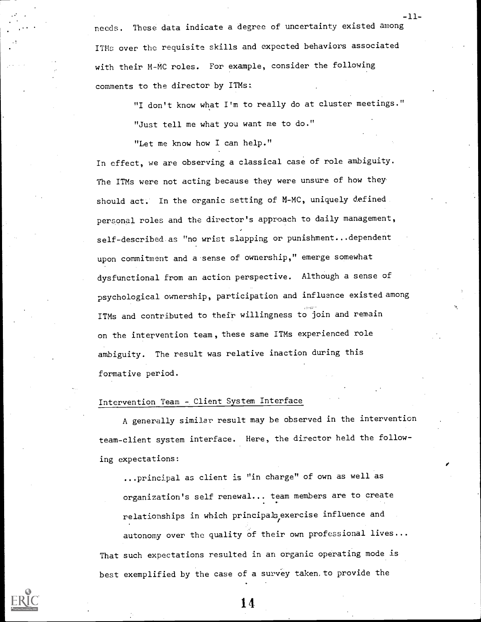needs. These data indicate a degree of uncertainty existed among ITMs over the requisite skills and expected behaviors associated with their M-MC roles. For example, consider the following comments to the director by ITMs:.

> "I don't know what I'm to really do at cluster meetings." "Just tell me what you want me to do."

-11-

"Let me know how I can help."

In effect, we are observing a classical case of role ambiguity. The ITMs were not acting because they were unsure of how they should act. In the organic setting of M-MC, uniquely defined personal roles and the director's approach to daily management, self-described as "no wrist slapping or punishment...dependent upon commitment and a sense of ownership," emerge somewhat dysfunctional from an action perspective. Although a sense of psychological ownership, participation and influence existed among ITMs and contributed to their willingness to join and remain on the intervention team, these same ITMs experienced role ambiguity. The result was relative inaction during this formative period.

# Intervention Team - Client System Interface

A generally similar result may be observed in the intervention team-client system interface. Here, the director held the following expectations:

...principal as client is "in charge" of own as well as organization's self renewal... team members are to create relationships in which principals exercise influence and autonomy over the quality of their own professional lives... That such expectations resulted in an organic operating mode is best exemplified by the case of a survey taken, to provide the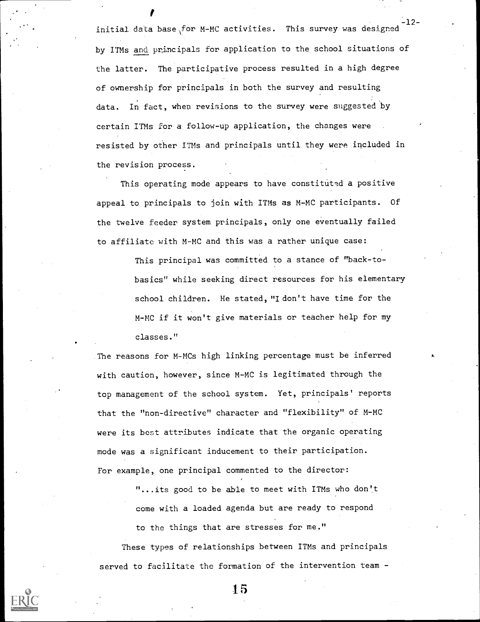-12 initial data base for M-MC activities. This survey was designed by ITMs and principals for application to the school situations of the latter. The participative process resulted in a high degree of ownership for principals in both the survey and resulting data. In fact, when revisions to the survey were suggested by certain ITMs for a follow-up application, the changes were resisted by other ITMs and principals until they were included in the revision process.

This operating mode appears to have constituted a positive appeal to principals to join with ITMs as M-MC participants. Of the twelve feeder system principals, only one eventually failed to affiliate with M-MC and this was a rather unique case:

> This principal was committed to a stance of "back-tobasics" while seeking direct resources for his elementary school children. He stated, "I don't have time for the M-MC if it won't give materials or teacher help for my classes."

The reasons for M-MCs high linking percentage must be inferred with caution, however, since M-MC is legitimated through the top management of the school system. Yet, principals' reports that the "non-directive" character and "flexibility" of M-MC were its best attributes indicate that the organic operating mode was a significant inducement to their participation. For example, one principal commented to the director:

> "...its good to be able to meet with ITMs who don't come with a loaded agenda but are ready to respond to the things that are stresses for me."

These types of relationships between ITMs and principals served to facilitate the formation of the intervention team -

1.5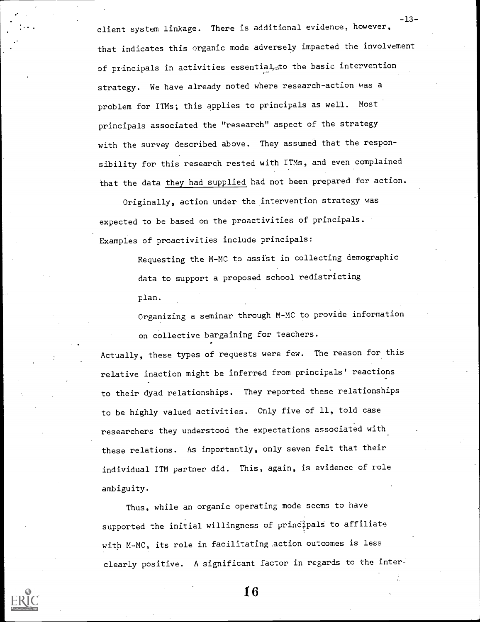client system linkage. There is additional evidence, however, that indicates this organic mode adversely impacted the involvement of principals in activities essential<sub>ss</sub>to the basic intervention strategy. We have already noted where research-action was a problem for ITMs; this applies to principals as well. Most principals associated the "research" aspect of the strategy with the survey described above. They assumed that the responsibility for this research rested with ITMs, and even complained that the data they had supplied had not been prepared for action.

-13-

Originally, action under the intervention strategy was expected to be based on the proactivities of principals. Examples of proactivities include principals:

> Requesting the M-MC to assist in collecting demographic data to support a proposed school redistricting plan.

Organizing a seminar through M-MC to provide information on collective bargaining for teachers.

Actually, these types of requests were few. The reason for this relative inaction might be inferred from principals' reactions to their dyad relationships. They reported these relationships to be highly valued activities. Only five of 11, told case researchers they understood the expectations associated with these relations. As importantly, only seven felt that their individual ITM partner did. This, again, is evidence of role ambiguity.

Thus, while an organic operating mode seems to have supported the initial willingness of principals to affiliate with M-MC, its role in facilitating action outcomes is less clearly positive. A significant factor in regards to the inter-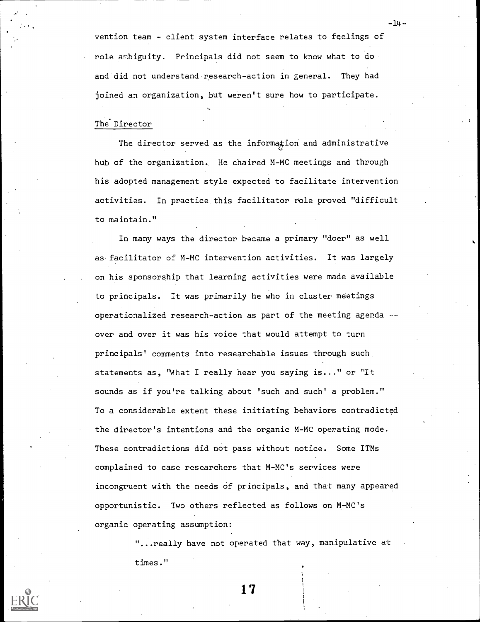vention team - client system interface relates to feelings of role ambiguity. Principals did not seem to know what to do and did not understand research-action in general. They had joined an organization, but weren't sure how to participate.

- 14 -

# The Director

The director served as the information and administrative hub of the organization. He chaired M-MC meetings and through his adopted management style expected to facilitate intervention activities. In practice this facilitator role proved "difficult to maintain."

In many ways the director became a primary "doer" as well as facilitator of M-MC intervention activities. It was largely on his sponsorship that learning activities were made available to principals. It was primarily he who in cluster meetings operationalized research-action as part of the meeting agenda - over and over it was his voice that would attempt to turn principals' comments into researchable issues through such statements as, "What I really hear you saying is..." or "It sounds as if you're talking about 'such and such' a problem." To a considerable extent these initiating behaviors contradicted the director's intentions and the organic M-MC operating mode. These contradictions did not pass without notice. Some ITMs complained to case researchers that M-MC's services were incongruent with the needs of principals, and that many appeared opportunistic. Two others reflected as follows on M-MC's organic operating assumption:

> "...really have not operated that way, manipulative at times."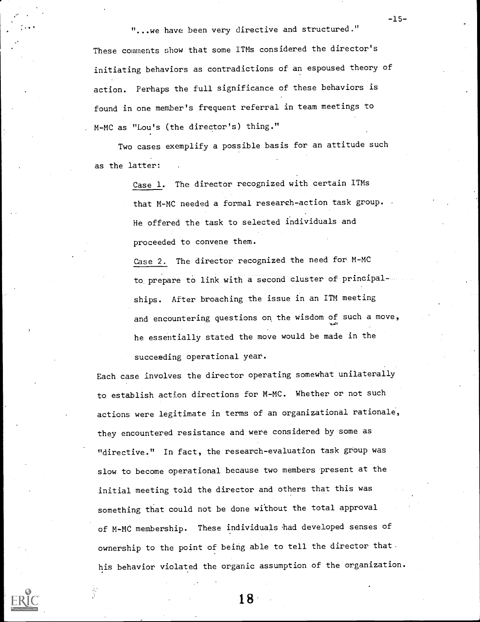...we have been very directive and structured."

-15-

These comments show that some ITMs considered the director's initiating behaviors as contradictions of an espoused theory of action. Perhaps the full significance of these behaviors is found in one member's frequent referral in team meetings to M-MC as "Lou's (the director's) thing."

Two cases exemplify a possible basis for an attitude such as the latter:

> Case 1. The director recognized with certain ITMs that M-MC needed a formal research-action task group. . He offered the task to selected individuals and proceeded to convene them.

Case 2. The director recognized the need for M-MC to prepare to link with a second cluster of principalships. After broaching the issue in an ITM meeting and encountering questions on the wisdom of such a move, he essentially stated the move would be made in the succeeding operational year.

Each case involves the director operating somewhat unilaterally to establish action directions for M-MC. Whether or not such actions were legitimate in terms of an organizational rationale, they encountered resistance and were considered by some as "directive." In fact, the research-evaluation task group was slow to become operational because two members present at the initial meeting told the director and others that this was something that could not be done without the total approval of M-MC membership. These individuals had developed senses of ownership to the point of being able to tell the director that his behavior violated the organic assumption of the organization.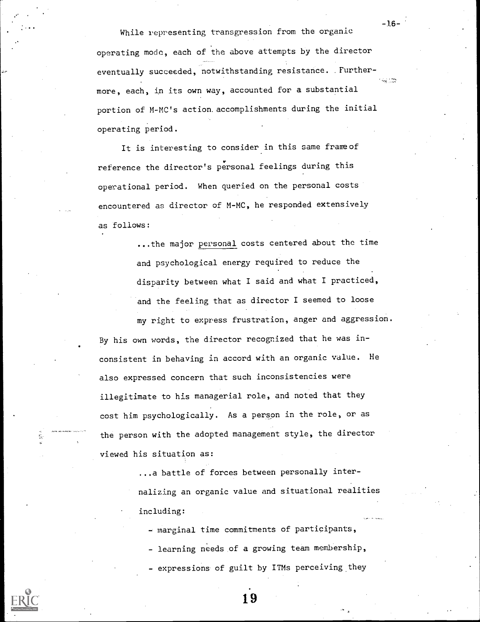While representing transgression from the organic operating mode, each of the above attempts by the director eventually succeeded, notwithstanding resistance. .Furthermore, each, in its own way, accounted for a substantial portion of M-MC's action. accomplishments during the initial operating period.

-16-

It is interesting to consider in this same frameof reference the director's personal feelings during this operational period. When queried on the personal costs encountered as director of M-MC, he responded extensively as follows:

> ...the major personal costs centered about the time and psychological energy required to reduce the disparity between what I said and what I practiced, and the feeling that as director I seemed to loose

my right to express frustration, anger and aggression. By his own words, the director recognized that he was inconsistent in behaving in accord with an organic value. He also expressed concern that such inconsistencies were illegitimate to his managerial role, and noted that they cost him psychologically. As a person in the role, or as the person with the adopted management style, the director viewed his situation as:

亵

...a battle of forces between personally internalizing an organic value and situational realities including:

- marginal time commitments of participants,

- learning needs of a growing team membership,
- expressions of guilt by ITMs perceiving they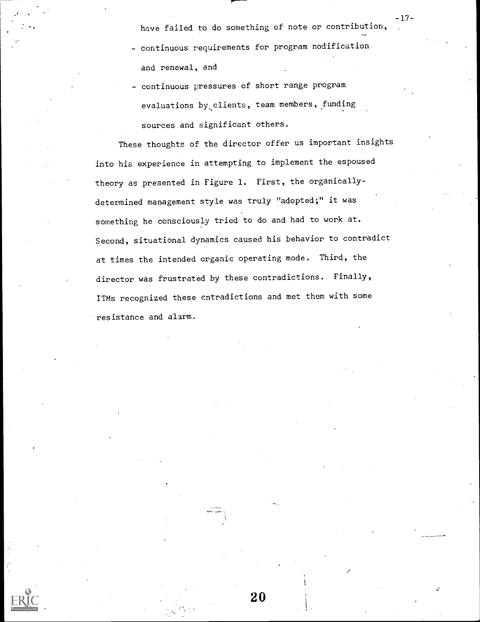have failed to do something of note or contribution,

-17-

- continuous requirements for program nodification and renewal, and
- continuous pressures of short range program evaluations by clients, team members, funding sources and significant others.

These thoughts of the director offer us important insights into his experience in attempting to implement the espoused theory as presented in Figure 1. First, the organicallydetermined management style was truly "adopted;" it was something he consciously tried to do and had to work at. Second, situational dynamics caused his behavior to contradict at times the intended organic operating mode. Third, the director was frustrated by these contradictions. Finally, ITMs recognized these cntradictions and met them with some resistance and alarm.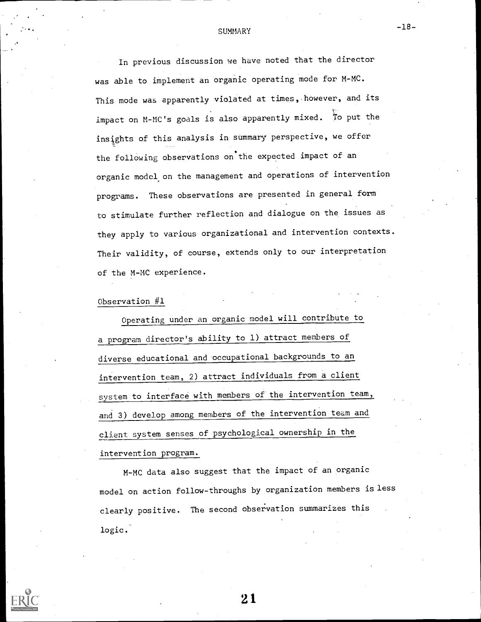#### **SUMMARY**

In previous discussion we have noted that the director was able to implement an organic operating mode for M-MC. This mode was apparently violated at times, however, and its impact on M-MC's goals is also apparently mixed. To put the insights of this analysis in summary perspective, we offer the following observations on the expected impact of an organic model on the management and operations of intervention programs. These observations are presented in general form to stimulate further reflection and dialogue on the issues as they apply to various organizational and intervention contexts. Their validity, of course, extends only to our interpretation of the M-MC experience.

#### Observation #1

Operating under an organic model will contribute to a program director's ability to 1) attract members of diverse educational and occupational backgrounds to an intervention team, 2) attract individuals from a client system to interface with members of the intervention team, and 3) develop among members of the intervention team and client system senses of psychological ownership in the intervention program.

M-MC data also suggest that the impact of an organic model on action follow-throughs by organization members is less clearly positive. The second observation summarizes this logic.



21

-18-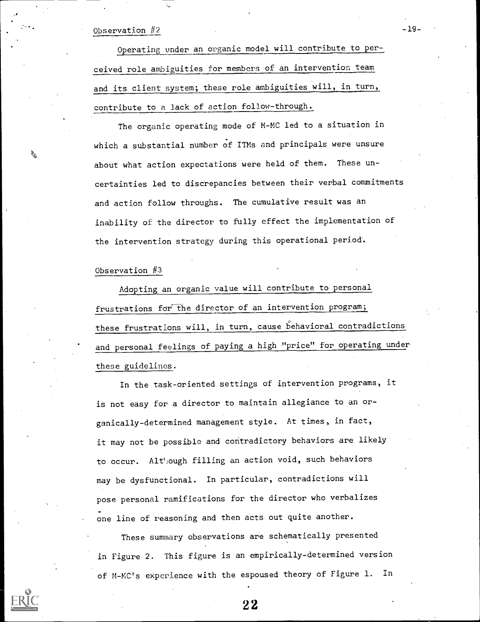#### Observation #2

Operating under an organic model will contribute to perceived role ambiguities for members of an intervention team and its client system; these role ambiguities will, in turn, contribute to a lack of action follow-through.

-19-

The organic operating mode of M-MC led to a situation in which a substantial number of ITMs and principals were unsure about what action expectations were held of them. These uncertainties led to discrepancies between their verbal commitments and action follow throughs. The cumulative result was an inability of the director' to fully effect the implementation of the intervention strategy during this operational period.

Observation  $#3$ 

Adopting an organic value will contribute to personal frustrations for the director of an intervention program; these frustrations will, in turn, cause behavioral contradictions and personal feelings of paying a high "price" for operating under these guidelines.

In the task-oriented settings of intervention programs, it is not easy for a director to maintain allegiance to an organically-determined management style. At times, in fact, it may not be possible and contradictory behaviors are likely to occur. Alt'iough filling an action void, such behaviors may be dysfunctional. In particular, contradictions will pose personal ramifications for the director who verbalizes one line of reasoning and then acts out quite another.

These summary observations are schematically presented in Figure 2. This figure is an empirically-determined version of M-MC's experience with the espoused theory of Figure 1. In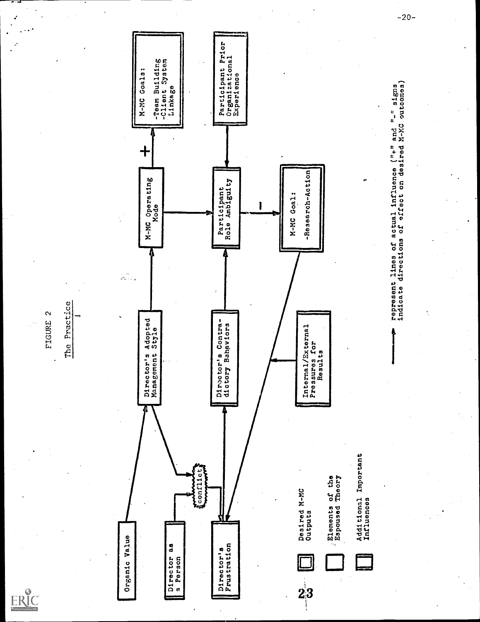ERIC

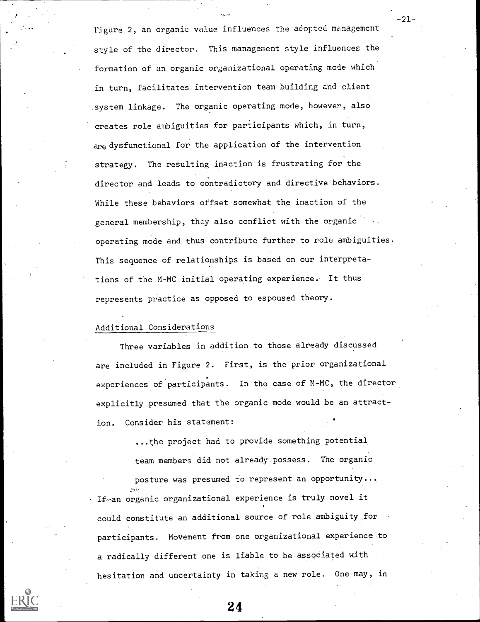Figure 2, an organic value influences the adopted management style of the director. This management style influences the formation of an organic organizational operating mode which in turn, facilitates intervention team building and client .system linkage. The organic operating mode, however, also creates role ambiguities for participants which, in turn, are dysfunctional for the application of the intervention strategy. The resulting inaction is frustrating for the director and leads to contradictory and directive behaviors. While these behaviors offset somewhat the inaction of the general membership, they also conflict with the organic operating mode and thus contribute further to role ambiguities. This sequence of relationships is based on our interpretations of the M-MC initial operating experience. It thus represents practice as opposed to espoused theory.

## Additional Considerations

Three variables in addition to those already discussed are included in Figure 2. First, is the prior organizational experiences of participants. In the case of M-MC, the director explicitly presumed that the organic mode would be an attraction. Consider his statement:

> ...the project had to provide something potential team members did not already possess. The organic

posture was presumed to represent an opportunity... If an organic organizational experience is truly novel it could constitute an additional source of role ambiguity for participants. Movement from one organizational experience to a radically different one is liable to be associated with hesitation and uncertainty in taking a new role. One may, in -21--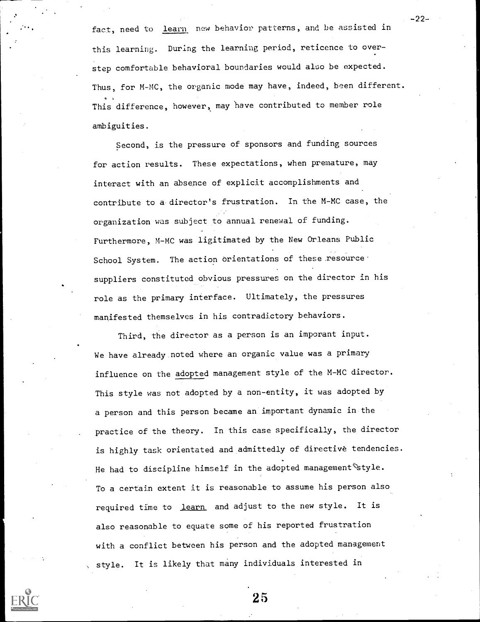fact, need to learn new behavior patterns, and be assisted in this learning. During the learning period, reticence to overstep comfortable behavioral boundaries would also be expected. Thus, for M-MC, the organic mode may have, indeed, been different. This difference, however, may have contributed to member role ambiguities.

Second, is the pressure of sponsors and funding sources for action results. These expectations, when premature, may interact with an absence of explicit accomplishments and contribute to a director's frustration. In the M-MC case, the organization was subject to annual renewal of funding. Furthermore, M-MC was ligitimated by the New Orleans Public School System. The action orientations of these resource suppliers constituted obvious pressures on the director in his role as the primary interface. Ultimately, the pressures manifested themselves in his contradictory behaviors.

Third, the director as a person is an imporant input. We have already noted where an organic value was a primary influence on the adopted management style of the M-MC director. This style was not adopted by a non-entity, it was adopted by a person and this person became an important dynamic in the practice of the theory. In this case specifically, the director is highly task orientated and admittedly of directive tendencies. He had to discipline himself in the adopted management  $\mathscr{E}$ style. To a certain extent it is reasonable to assume his person also required time to learn and adjust to the new style. It is also reasonable to equate some of his reported frustration with a conflict between his person and the adopted management style. It is likely that many individuals interested in



25

-22-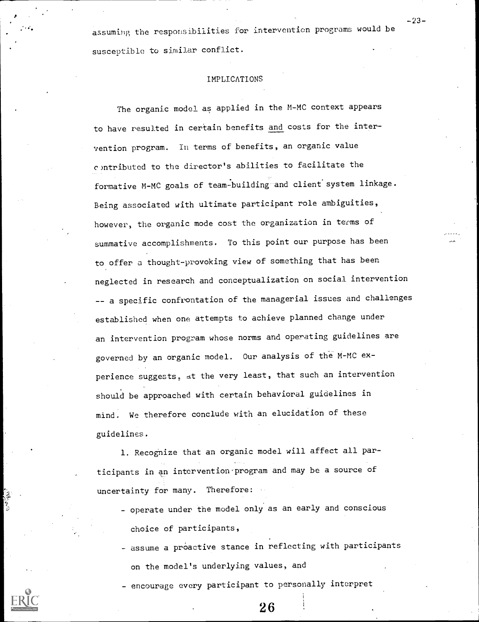assuming the responsibilities for intervention programs would be susceptible to similar conflict.

#### IMPLICATIONS

The organic model as applied in the M-MC context appears to have resulted in certain benefits and costs for the intervention program. In terms of benefits, an organic value c)ntributed to the director's abilities to facilitate the formative M-MC goals of team-building and client system linkage. Being associated with ultimate participant role ambiguities, however, the organic mode cost the organization in terms of summative accomplishments. To this point our purpose has been to offer a thought-provoking view of something that has been neglected in research and conceptualization on social intervention -- a specific confrontation of the managerial issues and challenges established when one attempts to achieve planned change under an intervention program whose norms and operating guidelines are governed by an organic model. Our analysis of the M-MC experience suggests. at the very least, that such an intervention should be approached with certain behavioral guidelines in mind. We therefore conclude with an elucidation of these guidelines.

1. Recognize that an organic model will affect all participants in an intervention'program and may be a source of uncertainty for many. Therefore:

- operate under the model only as an early and conscious choice of participants,
- assume a proactive stance in reflecting with participants on the model's underlying values, and

- encourage every participant to personally interpret



-23--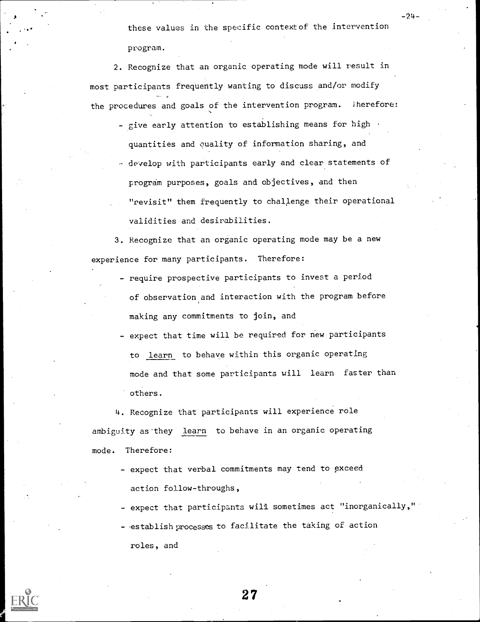these values in the specific contextof the intervention program.

-24-

2. Recognize that an organic operating mode will result in most participants frequently wanting to discuss and/or modify the procedures and goals of the intervention program. Therefore:

- give early attention to establishing means for high quantities and ouality of information sharing, and
- develop with participants early and clear statements of program purposes, goals and objectives, and then "revisit" them frequently to challenge their operational validities and desirabilities.

3. Recognize that an organic operating mode may be a new experience for many participants. Therefore:

- require prospective participants to invest a period of observation and interaction with the program before making any commitments to join, and
- expect that time will be required for new participants to learn to behave within this organic operating mode and that some participants will learn faster than others.

4. Recognize that participants will experience role ambiguity as-they learn to behave in an organic operating mode. Therefore:

- expect that verbal commitments may tend to exceed action follow-throughs,
- expect that participants will sometimes act "inorganically,"
- establish processes to facilitate the taking of action roles, and



 $\bf 27$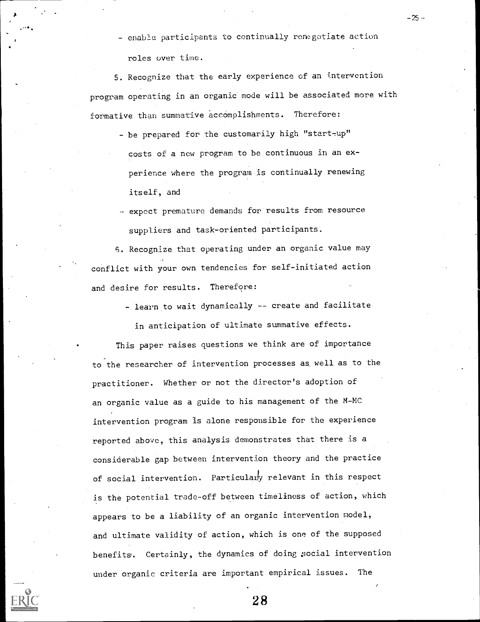- enable participants to continually renegotiate action roles over time.

 $-25 -$ 

5. Recognize that the early experience of an intervention program operating in an organic mode will be associated more with formative than summative accomplishments. Therefore:

- be prepared for the customarily high "start-up" costs of a new program to be continuous in an experience where the program is continually renewing itself, and
- expect premature demands for results from resource suppliers and task-oriented participants.

6. Recognize that operating under an organic value may conflict with your own tendencies for self-initiated action and desire for results. Therefore:

- learn to wait dynamically -- create and facilitate

in anticipation of ultimate summative effects.

This paper raises questions we think are of importance to the researcher of intervention processes as well as to the practitioner. Whether or not the director's adoption of an organic value as a guide to his management of the M-MC intervention program is alone responsible for the experience reported above, this analysis demonstrates that there is a considerable gap between intervention theory and the practice of social intervention. Particularly relevant in this respect is the potential trade-off between timeliness of action, which appears to be a liability of an organic intervention model, and ultimate validity of action, which is one of the supposed benefits. Certainly, the dynamics of doing social intervention under organic criteria are important empirical issues.

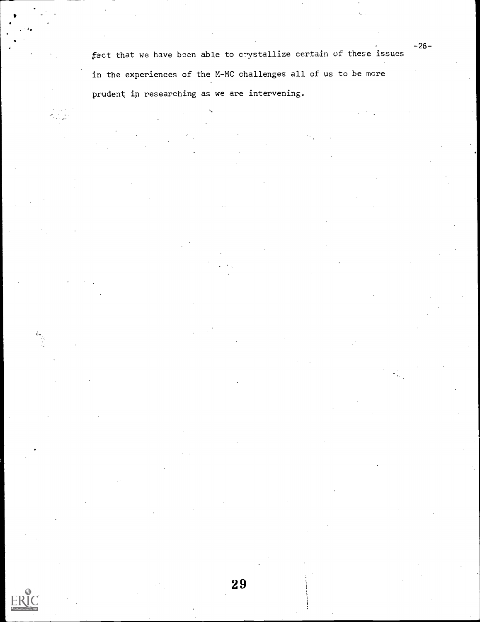fact that we have been able to crystallize certain of these issues in the experiences of the M-MC challenges all of us to be more prudent in researching as we are intervening.